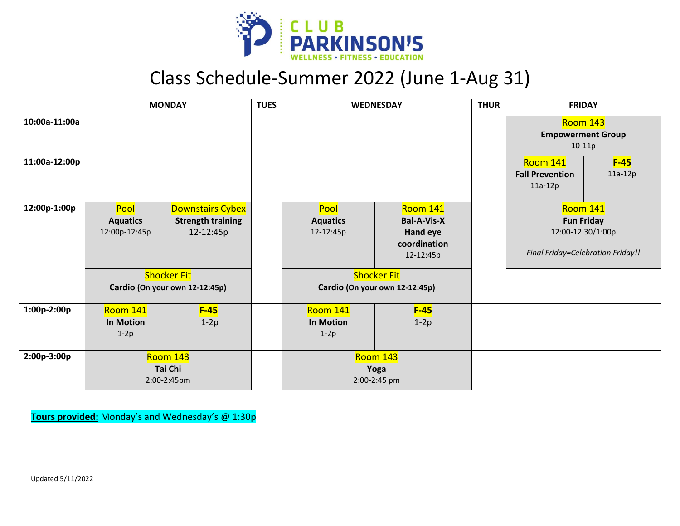

## Class Schedule-Summer 2022 (June 1-Aug 31)

|               | <b>MONDAY</b>                                        |                                                                  | <b>TUES</b> | <b>WEDNESDAY</b>                                     |                                                                         | <b>THUR</b> | <b>FRIDAY</b>                                                                                  |                     |
|---------------|------------------------------------------------------|------------------------------------------------------------------|-------------|------------------------------------------------------|-------------------------------------------------------------------------|-------------|------------------------------------------------------------------------------------------------|---------------------|
| 10:00a-11:00a |                                                      |                                                                  |             |                                                      |                                                                         |             | <b>Room 143</b><br><b>Empowerment Group</b><br>$10-11p$                                        |                     |
| 11:00a-12:00p |                                                      |                                                                  |             |                                                      |                                                                         |             | <b>Room 141</b><br><b>Fall Prevention</b><br>11a-12p                                           | $F-45$<br>$11a-12p$ |
| 12:00p-1:00p  | Pool<br><b>Aquatics</b><br>12:00p-12:45p             | <b>Downstairs Cybex</b><br><b>Strength training</b><br>12-12:45p |             | Pool<br><b>Aquatics</b><br>12-12:45p                 | Room 141<br><b>Bal-A-Vis-X</b><br>Hand eye<br>coordination<br>12-12:45p |             | <b>Room 141</b><br><b>Fun Friday</b><br>12:00-12:30/1:00p<br>Final Friday=Celebration Friday!! |                     |
|               | <b>Shocker Fit</b><br>Cardio (On your own 12-12:45p) |                                                                  |             | <b>Shocker Fit</b><br>Cardio (On your own 12-12:45p) |                                                                         |             |                                                                                                |                     |
| $1:00p-2:00p$ | <b>Room 141</b><br><b>In Motion</b><br>$1-2p$        | $F-45$<br>$1-2p$                                                 |             | Room 141<br><b>In Motion</b><br>$1-2p$               | $F-45$<br>$1-2p$                                                        |             |                                                                                                |                     |
| 2:00p-3:00p   | <b>Room 143</b><br>Tai Chi<br>2:00-2:45pm            |                                                                  |             | <b>Room 143</b><br>Yoga<br>2:00-2:45 pm              |                                                                         |             |                                                                                                |                     |

**Tours provided:** Monday's and Wednesday's @ 1:30p